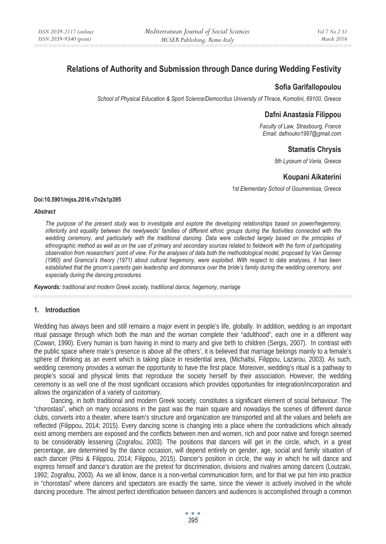# **Relations of Authority and Submission through Dance during Wedding Festivity**

# **Sofia Garifallopoulou**

*School of Physical Education & Sport Science/Democritus University of Thrace, Komotini, 69100, Greece* 

### **Dafni Anastasia Filippou**

*Faculty of Law, Strasbourg, France Email: dafnouko1997@gmail.com* 

# **Stamatis Chrysis**

*5th Lyceum of Veria, Greece* 

## **Koupani Aikaterini**

*1st Elementary School of Goumenissa, Greece* 

#### **Doi:10.5901/mjss.2016.v7n2s1p395**

#### *Abstract*

*The purpose of the present study was to investigate and explore the developing relationships based on power/hegemony,*  inferiority and equality between the newlyweds' families of different ethnic groups during the festivities connected with the *wedding ceremony, and particularly with the traditional dancing. Data were collected largely based on the principles of ethnographic method as well as on the use of primary and secondary sources related to fieldwork with the form of participating observation from researchers' point of view. For the analyses of data both the methodological model, proposed by Van Gennep (1960) and Gramcsi's theory (1971) about cultural hegemony, were exploited. With respect to data analyses, it has been established that the groom's parents gain leadership and dominance over the bride's family during the wedding ceremony, and especially during the dancing procedures.* 

*Keywords: traditional and modern Greek society, traditional dance, hegemony, marriage* 

### **1. Introduction**

Wedding has always been and still remains a major event in people's life, globally. In addition, wedding is an important ritual passage through which both the man and the woman complete their "adulthood", each one in a different way (Cowan, 1990). Every human is born having in mind to marry and give birth to children (Sergis, 2007). In contrast with the public space where male's presence is above all the others', it is believed that marriage belongs mainly to a female's sphere of thinking as an event which is taking place in residential area, (Michaltsi, Filippou, Lazarou, 2003). As such, wedding ceremony provides a woman the opportunity to have the first place. Moreover, wedding's ritual is a pathway to people's social and physical limits that reproduce the society herself by their association. However, the wedding ceremony is as well one of the most significant occasions which provides opportunities for integration/incorporation and allows the organization of a variety of customary.

Dancing, in both traditional and modern Greek society, constitutes a significant element of social behaviour. The "chorostasi", which on many occasions in the past was the main square and nowadays the scenes of different dance clubs, converts into a theater, where team's structure and organization are transported and all the values and beliefs are reflected (Filippou, 2014; 2015). Every dancing scene is changing into a place where the contradictions which already exist among members are exposed and the conflicts between men and women, rich and poor native and foreign seemed to be considerably lessening (Zografou, 2003). The positions that dancers will get in the circle, which, in a great percentage, are determined by the dance occasion, will depend entirely on gender, age, social and family situation of each dancer (Pitsi & Filippou, 2014; Filippou, 2015). Dancer's position in circle, the way in which he will dance and express himself and dance's duration are the pretext for discrimination, divisions and rivalries among dancers (Loutzaki, 1992; Zografou, 2003). As we all know, dance is a non-verbal communication form, and for that we put him into practice in "chorostasi" where dancers and spectators are exactly the same, since the viewer is actively involved in the whole dancing procedure. The almost perfect identification between dancers and audiences is accomplished through a common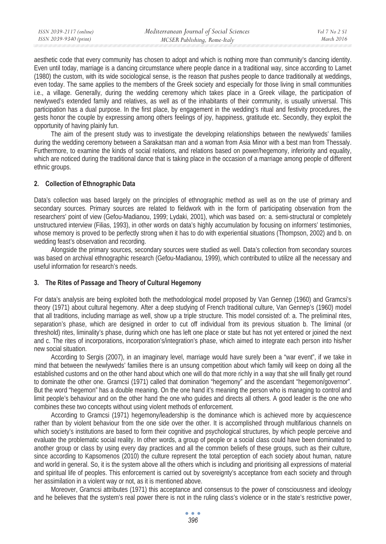aesthetic code that every community has chosen to adopt and which is nothing more than community's dancing identity. Even until today, marriage is a dancing circumstance where people dance in a traditional way, since according to Lamet (1980) the custom, with its wide sociological sense, is the reason that pushes people to dance traditionally at weddings, even today. The same applies to the members of the Greek society and especially for those living in small communities i.e., a village. Generally, during the wedding ceremony which takes place in a Greek village, the participation of newlywed's extended family and relatives, as well as of the inhabitants of their community, is usually universal. This participation has a dual purpose. In the first place, by engagement in the wedding's ritual and festivity procedures, the gests honor the couple by expressing among others feelings of joy, happiness, gratitude etc. Secondly, they exploit the opportunity of having plainly fun.

The aim of the present study was to investigate the developing relationships between the newlyweds' families during the wedding ceremony between a Sarakatsan man and a woman from Asia Minor with a best man from Thessaly. Furthermore, to examine the kinds of social relations, and relations based on power/hegemony, inferiority and equality, which are noticed during the traditional dance that is taking place in the occasion of a marriage among people of different ethnic groups.

## **2. Collection of Ethnographic Data**

Data's collection was based largely on the principles of ethnographic method as well as on the use of primary and secondary sources. Primary sources are related to fieldwork with in the form of participating observation from the researchers' point of view (Gefou-Madianou, 1999; Lydaki, 2001), which was based on: a. semi-structural or completely unstructured interview (Filias, 1993), in other words on data's highly accumulation by focusing on informers' testimonies, whose memory is proved to be perfectly strong when it has to do with experiential situations (Thompson, 2002) and b. on wedding feast's observation and recording.

Alongside the primary sources, secondary sources were studied as well. Data's collection from secondary sources was based on archival ethnographic research (Gefou-Madianou, 1999), which contributed to utilize all the necessary and useful information for research's needs.

## **3. The Rites of Passage and Theory of Cultural Hegemony**

For data's analysis are being exploited both the methodological model proposed by Van Gennep (1960) and Gramcsi's theory (1971) about cultural hegemony. After a deep studying of French traditional culture, Van Gennep's (1960) model that all traditions, including marriage as well, show up a triple structure. This model consisted of: a. The preliminal rites, separation's phase, which are designed in order to cut off individual from its previous situation b. The liminal (or threshold) rites, liminality's phase, during which one has left one place or state but has not yet entered or joined the next and c. The rites of incorporations, incorporation's/integration's phase, which aimed to integrate each person into his/her new social situation.

According to Sergis (2007), in an imaginary level, marriage would have surely been a "war event", if we take in mind that between the newlyweds' families there is an unsung competition about which family will keep on doing all the established customs and on the other hand about which one will do that more richly in a way that she will finally get round to dominate the other one. Gramcsi (1971) called that domination "hegemony" and the ascendant "hegemon/governor". But the word "hegemon" has a double meaning. On the one hand it's meaning the person who is managing to control and limit people's behaviour and on the other hand the one who guides and directs all others. A good leader is the one who combines these two concepts without using violent methods of enforcement.

According to Gramcsi (1971) hegemony/leadership is the dominance which is achieved more by acquiescence rather than by violent behaviour from the one side over the other. It is accomplished through multifarious channels on which society's institutions are based to form their cognitive and psychological structures, by which people perceive and evaluate the problematic social reality. In other words, a group of people or a social class could have been dominated to another group or class by using every day practices and all the common beliefs of these groups, such as their culture, since according to Kapsomenos (2010) the culture represent the total perception of each society about human, nature and world in general. So, it is the system above all the others which is including and prioritising all expressions of material and spiritual life of peoples. This enforcement is carried out by sovereignty's acceptance from each society and through her assimilation in a violent way or not, as it is mentioned above.

Moreover, Gramcsi attributes (1971) this acceptance and consensus to the power of consciousness and ideology and he believes that the system's real power there is not in the ruling class's violence or in the state's restrictive power,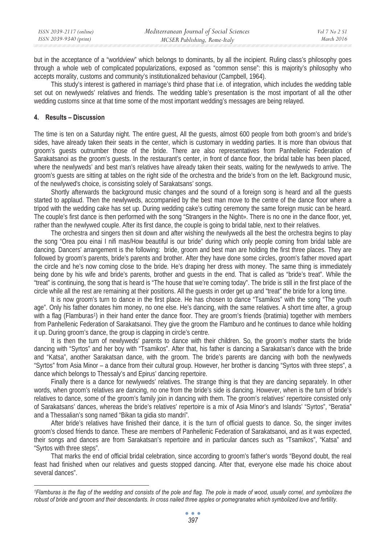but in the acceptance of a "worldview" which belongs to dominants, by all the incipient. Ruling class's philosophy goes through a whole web of complicated popularizations, exposed as "common sense": this is majority's philosophy who accepts morality, customs and community's institutionalized behaviour (Campbell, 1964).

This study's interest is gathered in marriage's third phase that i.e. of integration, which includes the wedding table set out on newlyweds' relatives and friends. The wedding table's presentation is the most important of all the other wedding customs since at that time some of the most important wedding's messages are being relayed.

### **4. Results – Discussion**

The time is ten on a Saturday night. The entire guest, All the guests, almost 600 people from both groom's and bride's sides, have already taken their seats in the center, which is customary in wedding parties. It is more than obvious that groom's guests outnumber those of the bride. There are also representatives from Panhellenic Federation of Sarakatsanoi as the groom's guests. In the restaurant's center, in front of dance floor, the bridal table has been placed, where the newlyweds' and best man's relatives have already taken their seats, waiting for the newlyweds to arrive. The groom's guests are sitting at tables on the right side of the orchestra and the bride's from on the left. Background music, of the newlywed's choice, is consisting solely of Sarakatsans' songs.

Shortly afterwards the background music changes and the sound of a foreign song is heard and all the guests started to applaud. Then the newlyweds, accompanied by the best man move to the centre of the dance floor where a tripod with the wedding cake has set up. During wedding cake's cutting ceremony the same foreign music can be heard. The couple's first dance is then performed with the song "Strangers in the Night». There is no one in the dance floor, yet, rather than the newlywed couple. After its first dance, the couple is going to bridal table, next to their relatives.

The orchestra and singers then sit down and after wishing the newlyweds all the best the orchestra begins to play the song "Orea pou einai I nifi mas/How beautiful is our bride" during which only people coming from bridal table are dancing. Dancers' arrangement is the following: bride, groom and best man are holding the first three places. They are followed by groom's parents, bride's parents and brother. After they have done some circles, groom's father moved apart the circle and he's now coming close to the bride. He's draping her dress with money. The same thing is immediately being done by his wife and bride's parents, brother and guests in the end. That is called as "bride's treat". While the "treat" is continuing, the song that is heard is "The house that we're coming today". The bride is still in the first place of the circle while all the rest are remaining at their positions. All the guests in order get up and "treat" the bride for a long time.

It is now groom's turn to dance in the first place. He has chosen to dance "Tsamikos" with the song "The youth age". Only his father donates him money, no one else. He's dancing, with the same relatives. A short time after, a group with a flag (Flamburas<sup>1</sup>) in their hand enter the dance floor. They are groom's friends (bratimia) together with members from Panhellenic Federation of Sarakatsanoi. They give the groom the Flamburo and he continues to dance while holding it up. During groom's dance, the group is clapping in circle's centre.

It is then the turn of newlyweds' parents to dance with their children. So, the groom's mother starts the bride dancing with "Syrtos" and her boy with "Tsamikos". After that, his father is dancing a Sarakatsan's dance with the bride and "Katsa", another Sarakatsan dance, with the groom. The bride's parents are dancing with both the newlyweds "Syrtos" from Asia Minor – a dance from their cultural group. However, her brother is dancing "Syrtos with three steps", a dance which belongs to Thessaly's and Epirus' dancing repertoire.

Finally there is a dance for newlyweds' relatives. The strange thing is that they are dancing separately. In other words, when groom's relatives are dancing, no one from the bride's side is dancing. However, when is the turn of bride's relatives to dance, some of the groom's family join in dancing with them. The groom's relatives' repertoire consisted only of Sarakatsans' dances, whereas the bride's relatives' repertoire is a mix of Asia Minor's and Islands' "Syrtos", "Beratia" and a Thessalian's song named "Bikan ta gidia sto mandri".

After bride's relatives have finished their dance, it is the turn of official guests to dance. So, the singer invites groom's closed friends to dance. These are members of Panhellenic Federation of Sarakatsanoi, and as it was expected, their songs and dances are from Sarakatsan's repertoire and in particular dances such as "Tsamikos", "Katsa" and "Syrtos with three steps".

That marks the end of official bridal celebration, since according to groom's father's words "Beyond doubt, the real feast had finished when our relatives and guests stopped dancing. After that, everyone else made his choice about several dances".

*<sup>1</sup>Flamburas is the flag of the wedding and consists of the pole and flag. The pole is made of wood, usually cornel, and symbolizes the robust of bride and groom and their descendants. In cross nailed three apples or pomegranates which symbolized love and fertility.*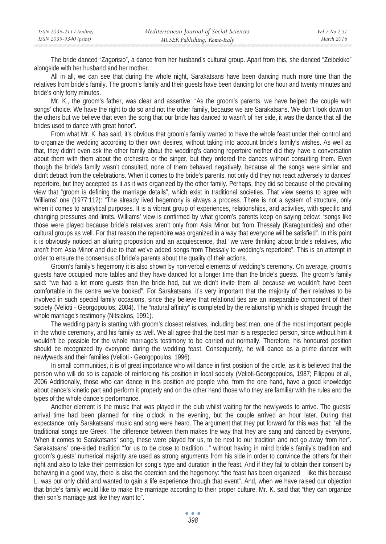The bride danced "Zagorisio", a dance from her husband's cultural group. Apart from this, she danced "Zeibekiko" alongside with her husband and her mother.

All in all, we can see that during the whole night, Sarakatsans have been dancing much more time than the relatives from bride's family. The groom's family and their guests have been dancing for one hour and twenty minutes and bride's only forty minutes.

Mr. K., the groom's father, was clear and assertive: "As the groom's parents, we have helped the couple with songs' choice. We have the right to do so and not the other family, because we are Sarakatsans. We don't look down on the others but we believe that even the song that our bride has danced to wasn't of her side, it was the dance that all the brides used to dance with great honor".

From what Mr. K. has said, it's obvious that groom's family wanted to have the whole feast under their control and to organize the wedding according to their own desires, without taking into account bride's family's wishes. As well as that, they didn't even ask the other family about the wedding's dancing repertoire neither did they have a conversation about them with them about the orchestra or the singer, but they ordered the dances without consulting them. Even though the bride's family wasn't consulted, none of them behaved negatively, because all the songs were similar and didn't detract from the celebrations. When it comes to the bride's parents, not only did they not react adversely to dances' repertoire, but they accepted as it as it was organized by the other family. Perhaps, they did so because of the prevailing view that "groom is defining the marriage details", which exist in traditional societies. That view seems to agree with Williams' one (1977:112): "The already lived hegemony is always a process. There is not a system of structure, only when it comes to analytical purposes. It is a vibrant group of experiences, relationships, and activities, with specific and changing pressures and limits. Williams' view is confirmed by what groom's parents keep on saying below: "songs like those were played because bride's relatives aren't only from Asia Minor but from Thessaly (Karagounides) and other cultural groups as well. For that reason the repertoire was organized in a way that everyone will be satisfied". In this point it is obviously noticed an alluring proposition and an acquiescence, that "we were thinking about bride's relatives, who aren't from Asia Minor and due to that we've added songs from Thessaly to wedding's repertoire". This is an attempt in order to ensure the consensus of bride's parents about the quality of their actions.

Groom's family's hegemony it is also shown by non-verbal elements of wedding's ceremony. On average, groom's guests have occupied more tables and they have danced for a longer time than the bride's guests. The groom's family said: "we had a lot more guests than the bride had, but we didn't invite them all because we wouldn't have been comfortable in the centre we've booked". For Sarakatsans, it's very important that the majority of their relatives to be involved in such special family occasions, since they believe that relational ties are an inseparable component of their society (Velioti - Georgopoulos, 2004). The "natural affinity" is completed by the relationship which is shaped through the whole marriage's testimony (Nitsiakos, 1991).

The wedding party is starting with groom's closest relatives, including best man, one of the most important people in the whole ceremony, and his family as well. We all agree that the best man is a respected person, since without him it wouldn't be possible for the whole marriage's testimony to be carried out normally. Therefore, his honoured position should be recognized by everyone during the wedding feast. Consequently, he will dance as a prime dancer with newlyweds and their families (Velioti - Georgopoulos, 1996).

In small communities, it is of great importance who will dance in first position of the circle, as it is believed that the person who will do so is capable of reinforcing his position in local society (Velioti-Georgopoulos, 1987; Filippou et all, 2006 Additionally, those who can dance in this position are people who, from the one hand, have a good knowledge about dance's kinetic part and perform it properly and on the other hand those who they are familiar with the rules and the types of the whole dance's performance.

Another element is the music that was played in the club whilst waiting for the newlyweds to arrive. The guests' arrival time had been planned for nine o'clock in the evening, but the couple arrived an hour later. During that expectance, only Sarakatsans' music and song were heard. The argument that they put forward for this was that: "all the traditional songs are Greek. The difference between them makes the way that they are sang and danced by everyone. When it comes to Sarakatsans' song, these were played for us, to be next to our tradition and not go away from her". Sarakatsans' one-sided tradition "for us to be close to tradition…" without having in mind bride's family's tradition and groom's guests' numerical majority are used as strong arguments from his side in order to convince the others for their right and also to take their permission for song's type and duration in the feast. And if they fail to obtain their consent by behaving in a good way, there is also the coercion and the hegemony: "the feast has been organized like this because L. was our only child and wanted to gain a life experience through that event". And, when we have raised our objection that bride's family would like to make the marriage according to their proper culture, Mr. K. said that "they can organize their son's marriage just like they want to".